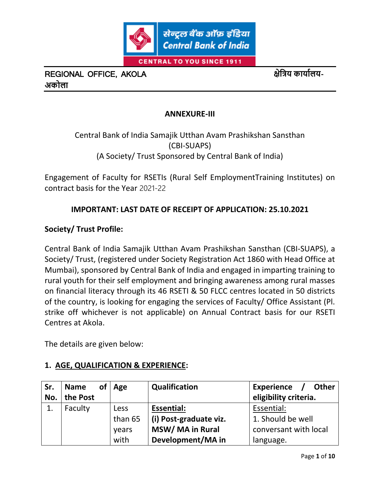

#### **ANNEXURE-III**

Central Bank of India Samajik Utthan Avam Prashikshan Sansthan (CBI-SUAPS) (A Society/ Trust Sponsored by Central Bank of India)

Engagement of Faculty for RSETIs (Rural Self EmploymentTraining Institutes) on contract basis for the Year 2021-22

### **IMPORTANT: LAST DATE OF RECEIPT OF APPLICATION: 25.10.2021**

#### **Society/ Trust Profile:**

Central Bank of India Samajik Utthan Avam Prashikshan Sansthan (CBI-SUAPS), a Society/ Trust, (registered under Society Registration Act 1860 with Head Office at Mumbai), sponsored by Central Bank of India and engaged in imparting training to rural youth for their self employment and bringing awareness among rural masses on financial literacy through its 46 RSETI & 50 FLCC centres located in 50 districts of the country, is looking for engaging the services of Faculty/ Office Assistant (Pl. strike off whichever is not applicable) on Annual Contract basis for our RSETI Centres at Akola.

The details are given below:

### **1. AGE, QUALIFICATION & EXPERIENCE:**

| Sr. | <b>Name</b> | of <sub>l</sub> | Age         | Qualification          | <b>Experience</b><br><b>Other</b> |
|-----|-------------|-----------------|-------------|------------------------|-----------------------------------|
| No. | the Post    |                 |             |                        | eligibility criteria.             |
|     | Faculty     |                 | <b>Less</b> | <b>Essential:</b>      | Essential:                        |
|     |             |                 | than 65     | (i) Post-graduate viz. | 1. Should be well                 |
|     |             |                 | years       | MSW/MA in Rural        | conversant with local             |
|     |             |                 | with        | Development/MA in      | language.                         |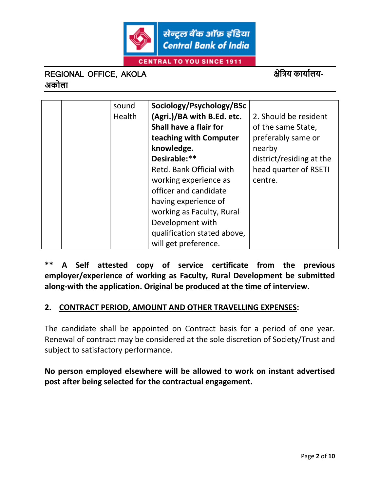

सेन्ट्रल बैंक ऑफ़ इंडिया **Central Bank of India** 

**CENTRAL TO YOU SINCE 1911** 

## REGIONAL OFFICE, AKOLA **क्षेत्रिय कायाालय-अकोला**

|  | sound         | Sociology/Psychology/BSc    |                          |
|--|---------------|-----------------------------|--------------------------|
|  | <b>Health</b> | (Agri.)/BA with B.Ed. etc.  | 2. Should be resident    |
|  |               | Shall have a flair for      | of the same State,       |
|  |               | teaching with Computer      | preferably same or       |
|  |               | knowledge.                  | nearby                   |
|  |               | Desirable:**                | district/residing at the |
|  |               | Retd. Bank Official with    | head quarter of RSETI    |
|  |               | working experience as       | centre.                  |
|  |               | officer and candidate       |                          |
|  |               | having experience of        |                          |
|  |               | working as Faculty, Rural   |                          |
|  |               | Development with            |                          |
|  |               | qualification stated above, |                          |
|  |               | will get preference.        |                          |

**\*\* A Self attested copy of service certificate from the previous employer/experience of working as Faculty, Rural Development be submitted along-with the application. Original be produced at the time of interview.** 

### **2. CONTRACT PERIOD, AMOUNT AND OTHER TRAVELLING EXPENSES:**

The candidate shall be appointed on Contract basis for a period of one year. Renewal of contract may be considered at the sole discretion of Society/Trust and subject to satisfactory performance.

**No person employed elsewhere will be allowed to work on instant advertised post after being selected for the contractual engagement.**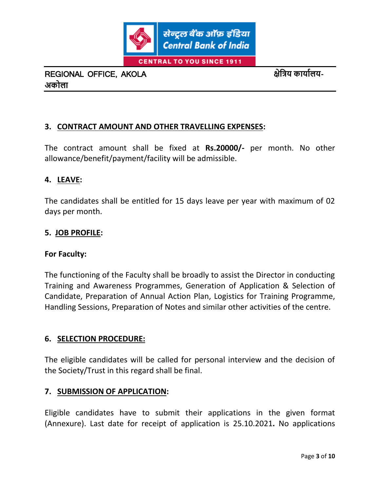

### **3. CONTRACT AMOUNT AND OTHER TRAVELLING EXPENSES:**

The contract amount shall be fixed at **Rs.20000/-** per month. No other allowance/benefit/payment/facility will be admissible.

#### **4. LEAVE:**

The candidates shall be entitled for 15 days leave per year with maximum of 02 days per month.

#### **5. JOB PROFILE:**

#### **For Faculty:**

The functioning of the Faculty shall be broadly to assist the Director in conducting Training and Awareness Programmes, Generation of Application & Selection of Candidate, Preparation of Annual Action Plan, Logistics for Training Programme, Handling Sessions, Preparation of Notes and similar other activities of the centre.

#### **6. SELECTION PROCEDURE:**

The eligible candidates will be called for personal interview and the decision of the Society/Trust in this regard shall be final.

#### **7. SUBMISSION OF APPLICATION:**

Eligible candidates have to submit their applications in the given format (Annexure). Last date for receipt of application is 25.10.2021**.** No applications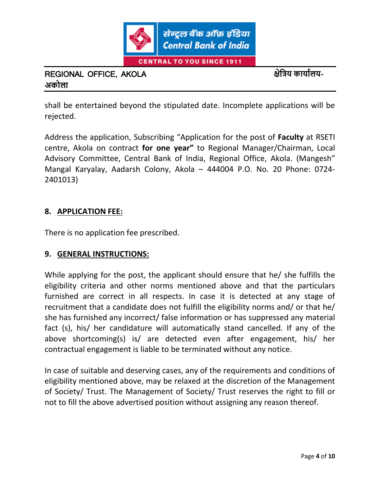

shall be entertained beyond the stipulated date. Incomplete applications will be rejected.

Address the application, Subscribing "Application for the post of **Faculty** at RSETI centre, Akola on contract **for one year"** to Regional Manager/Chairman, Local Advisory Committee, Central Bank of India, Regional Office, Akola. (Mangesh" Mangal Karyalay, Aadarsh Colony, Akola – 444004 P.O. No. 20 Phone: 0724- 2401013)

### **8. APPLICATION FEE:**

There is no application fee prescribed.

### **9. GENERAL INSTRUCTIONS:**

While applying for the post, the applicant should ensure that he/ she fulfills the eligibility criteria and other norms mentioned above and that the particulars furnished are correct in all respects. In case it is detected at any stage of recruitment that a candidate does not fulfill the eligibility norms and/ or that he/ she has furnished any incorrect/ false information or has suppressed any material fact (s), his/ her candidature will automatically stand cancelled. If any of the above shortcoming(s) is/ are detected even after engagement, his/ her contractual engagement is liable to be terminated without any notice.

In case of suitable and deserving cases, any of the requirements and conditions of eligibility mentioned above, may be relaxed at the discretion of the Management of Society/ Trust. The Management of Society/ Trust reserves the right to fill or not to fill the above advertised position without assigning any reason thereof.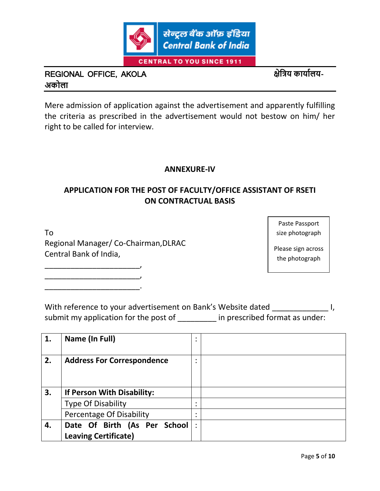

Mere admission of application against the advertisement and apparently fulfilling the criteria as prescribed in the advertisement would not bestow on him/ her right to be called for interview.

### **ANNEXURE-IV**

### **APPLICATION FOR THE POST OF FACULTY/OFFICE ASSISTANT OF RSETI ON CONTRACTUAL BASIS**

To Regional Manager/ Co-Chairman,DLRAC Central Bank of India,

\_\_\_\_\_\_\_\_\_\_\_\_\_\_\_\_\_\_\_\_\_\_, \_\_\_\_\_\_\_\_\_\_\_\_\_\_\_\_\_\_\_\_\_\_, \_\_\_\_\_\_\_\_\_\_\_\_\_\_\_\_\_\_\_\_\_\_.

Paste Passport size photograph

Please sign across the photograph

With reference to your advertisement on Bank's Website dated  $\qquad \qquad$  I, submit my application for the post of \_\_\_\_\_\_\_\_ in prescribed format as under:

| 1. | Name (In Full)                                              | ٠ |  |
|----|-------------------------------------------------------------|---|--|
| 2. | <b>Address For Correspondence</b>                           | ٠ |  |
| 3. | If Person With Disability:                                  |   |  |
|    | <b>Type Of Disability</b>                                   |   |  |
|    | Percentage Of Disability                                    | ٠ |  |
| 4. | Date Of Birth (As Per School<br><b>Leaving Certificate)</b> | ٠ |  |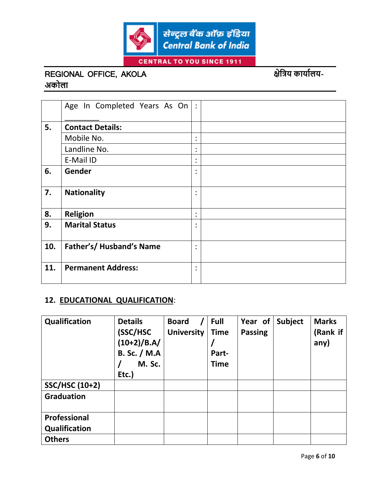

|     | Age In Completed Years As On | $\ddot{\cdot}$         |  |
|-----|------------------------------|------------------------|--|
| 5.  | <b>Contact Details:</b>      |                        |  |
|     | Mobile No.                   | $\bullet$              |  |
|     | Landline No.                 | ٠<br>$\bullet$         |  |
|     | E-Mail ID                    | ٠<br>$\bullet$         |  |
| 6.  | Gender                       | $\bullet$<br>$\bullet$ |  |
| 7.  | <b>Nationality</b>           | $\bullet$              |  |
| 8.  | <b>Religion</b>              | ٠<br>$\bullet$         |  |
| 9.  | <b>Marital Status</b>        | ٠                      |  |
| 10. | Father's/ Husband's Name     | $\bullet$<br>$\bullet$ |  |
| 11. | <b>Permanent Address:</b>    | ٠<br>$\bullet$         |  |

### **12. EDUCATIONAL QUALIFICATION**:

| Qualification         | <b>Details</b><br>(SSC/HSC<br>$(10+2)/B.A/$<br><b>B. Sc. / M.A</b><br>M. Sc.<br>Etc.) | <b>Board</b><br><b>University</b> | <b>Full</b><br><b>Time</b><br>Part-<br><b>Time</b> | Year of<br><b>Passing</b> | Subject | <b>Marks</b><br>(Rank if<br>any) |
|-----------------------|---------------------------------------------------------------------------------------|-----------------------------------|----------------------------------------------------|---------------------------|---------|----------------------------------|
| <b>SSC/HSC (10+2)</b> |                                                                                       |                                   |                                                    |                           |         |                                  |
| <b>Graduation</b>     |                                                                                       |                                   |                                                    |                           |         |                                  |
| Professional          |                                                                                       |                                   |                                                    |                           |         |                                  |
| Qualification         |                                                                                       |                                   |                                                    |                           |         |                                  |
| <b>Others</b>         |                                                                                       |                                   |                                                    |                           |         |                                  |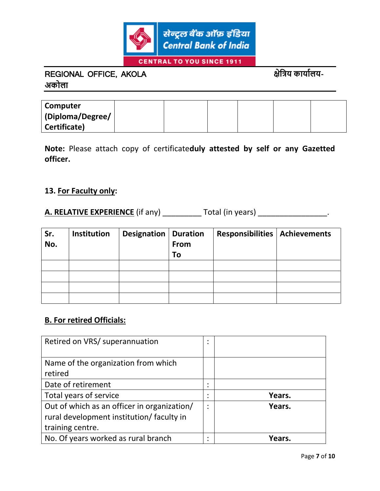

| Computer         |  |  |  |
|------------------|--|--|--|
| (Diploma/Degree/ |  |  |  |
| Certificate)     |  |  |  |

**Note:** Please attach copy of certificate**duly attested by self or any Gazetted officer.**

#### **13. For Faculty only:**

## **A. RELATIVE EXPERIENCE** (if any) \_\_\_\_\_\_\_\_\_\_\_ Total (in years) \_\_\_\_\_\_\_\_\_\_\_\_\_\_\_\_\_\_\_.

| Sr.<br>No. | Institution | <b>Designation   Duration</b> | From<br>To | <b>Responsibilities   Achievements</b> |  |
|------------|-------------|-------------------------------|------------|----------------------------------------|--|
|            |             |                               |            |                                        |  |
|            |             |                               |            |                                        |  |
|            |             |                               |            |                                        |  |
|            |             |                               |            |                                        |  |

#### **B. For retired Officials:**

| Retired on VRS/ superannuation              | ٠ |        |
|---------------------------------------------|---|--------|
|                                             |   |        |
| Name of the organization from which         |   |        |
| retired                                     |   |        |
| Date of retirement                          | ٠ |        |
| Total years of service                      | ٠ | Years. |
| Out of which as an officer in organization/ | ٠ | Years. |
| rural development institution/ faculty in   |   |        |
| training centre.                            |   |        |
| No. Of years worked as rural branch         | ٠ | Years. |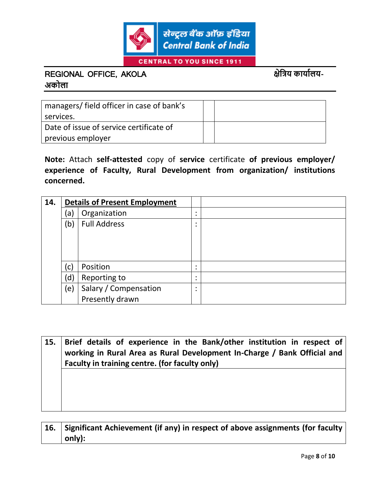

| managers/ field officer in case of bank's |  |
|-------------------------------------------|--|
| services.                                 |  |
| Date of issue of service certificate of   |  |
| previous employer                         |  |

**Note:** Attach **self-attested** copy of **service** certificate **of previous employer/ experience of Faculty, Rural Development from organization/ institutions concerned.**

| 14. | <b>Details of Present Employment</b> |                       |  |
|-----|--------------------------------------|-----------------------|--|
|     | a)                                   | Organization          |  |
|     | (b)                                  | <b>Full Address</b>   |  |
|     |                                      |                       |  |
|     |                                      |                       |  |
|     |                                      |                       |  |
|     | $\mathsf{C}\mathsf{)}$               | Position              |  |
|     | (d)                                  | Reporting to          |  |
|     | (e)                                  | Salary / Compensation |  |
|     |                                      | Presently drawn       |  |

**15. Brief details of experience in the Bank/other institution in respect of working in Rural Area as Rural Development In-Charge / Bank Official and Faculty in training centre. (for faculty only)**

**16. Significant Achievement (if any) in respect of above assignments (for faculty only):**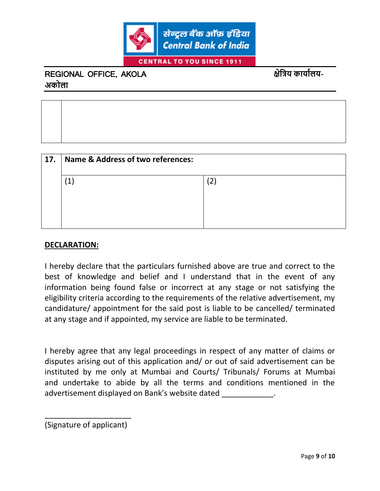

| 17. | <b>Name &amp; Address of two references:</b> |  |  |  |  |  |
|-----|----------------------------------------------|--|--|--|--|--|
|     | $\mathbf{1}$                                 |  |  |  |  |  |
|     |                                              |  |  |  |  |  |

### **DECLARATION:**

I hereby declare that the particulars furnished above are true and correct to the best of knowledge and belief and I understand that in the event of any information being found false or incorrect at any stage or not satisfying the eligibility criteria according to the requirements of the relative advertisement, my candidature/ appointment for the said post is liable to be cancelled/ terminated at any stage and if appointed, my service are liable to be terminated.

I hereby agree that any legal proceedings in respect of any matter of claims or disputes arising out of this application and/ or out of said advertisement can be instituted by me only at Mumbai and Courts/ Tribunals/ Forums at Mumbai and undertake to abide by all the terms and conditions mentioned in the advertisement displayed on Bank's website dated \_\_\_\_\_\_\_\_\_\_\_\_\_.

\_\_\_\_\_\_\_\_\_\_\_\_\_\_\_\_\_\_\_\_ (Signature of applicant)